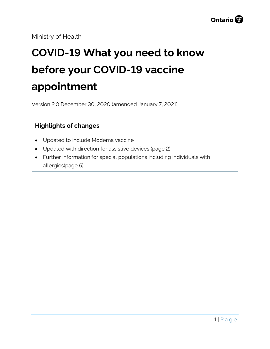Ministry of Health

# **COVID-19 What you need to know before your COVID-19 vaccine appointment**

Version 2.0 December 30, 2020 (amended January 7, 2021)

### **Highlights of changes**

- Updated to include Moderna vaccine
- Updated with direction for assistive devices (page 2)
- Further information for special populations including individuals with allergies(page 5)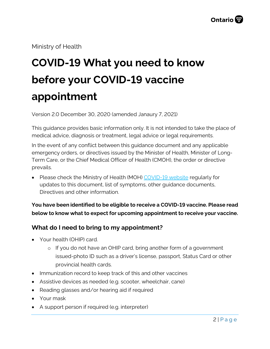Ministry of Health

# **COVID-19 What you need to know before your COVID-19 vaccine appointment**

Version 2.0 December 30, 2020 (amended Janaury 7, 2021)

This guidance provides basic information only. It is not intended to take the place of medical advice, diagnosis or treatment, legal advice or legal requirements.

In the event of any conflict between this guidance document and any applicable emergency orders, or directives issued by the Minister of Health, Minister of Long-Term Care, or the Chief Medical Officer of Health (CMOH), the order or directive prevails.

• Please check the Ministry of Health (MOH) [COVID-19 website](http://www.health.gov.on.ca/en/pro/programs/publichealth/coronavirus/2019_guidance.aspx) regularly for updates to this document, list of symptoms, other guidance documents, Directives and other information.

**You have been identified to be eligible to receive a COVID-19 vaccine. Please read below to know what to expect for upcoming appointment to receive your vaccine.**

### **What do I need to bring to my appointment?**

- Your health (OHIP) card.
	- o If you do not have an OHIP card, bring another form of a government issued-photo ID such as a driver's license, passport, Status Card or other provincial health cards.
- Immunization record to keep track of this and other vaccines
- Assistive devices as needed (e.g. scooter, wheelchair, cane)
- Reading glasses and/or hearing aid if required
- Your mask
- A support person if required (e.g. interpreter)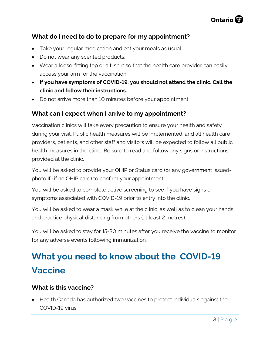

#### **What do I need to do to prepare for my appointment?**

- Take your regular medication and eat your meals as usual.
- Do not wear any scented products.
- Wear a loose-fitting top or a t-shirt so that the health care provider can easily access your arm for the vaccination
- **If you have symptoms of COVID-19, you should not attend the clinic. Call the clinic and follow their instructions.**
- Do not arrive more than 10 minutes before your appointment.

#### **What can I expect when I arrive to my appointment?**

Vaccination clinics will take every precaution to ensure your health and safety during your visit. Public health measures will be implemented, and all health care providers, patients, and other staff and visitors will be expected to follow all public health measures in the clinic. Be sure to read and follow any signs or instructions provided at the clinic.

You will be asked to provide your OHIP or Status card (or any government issuedphoto ID if no OHIP card) to confirm your appointment.

You will be asked to complete active screening to see if you have signs or symptoms associated with COVID-19 prior to entry into the clinic.

You will be asked to wear a mask while at the clinic, as well as to clean your hands, and practice physical distancing from others (at least 2 metres).

You will be asked to stay for 15-30 minutes after you receive the vaccine to monitor for any adverse events following immunization.

# **What you need to know about the COVID-19 Vaccine**

#### **What is this vaccine?**

• Health Canada has authorized two vaccines to protect individuals against the COVID-19 virus: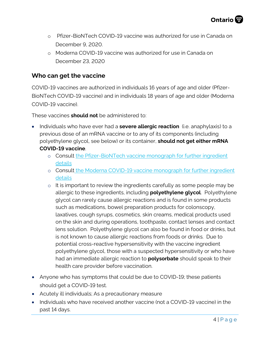- o Pfizer-BioNTech COVID-19 vaccine was authorized for use in Canada on December 9, 2020.
- o Moderna COVID-19 vaccine was authorized for use in Canada on December 23, 2020

#### **Who can get the vaccine**

COVID-19 vaccines are authorized in individuals 16 years of age and older (Pfizer-BioNTech COVID-19 vaccine) and in individuals 18 years of age and older (Moderna COVID-19 vaccine).

These vaccines **should not** be administered to:

- Individuals who have ever had a **severe allergic reaction** (i.e. anaphylaxis) to a previous dose of an mRNA vaccine or to any of its components (including polyethylene glycol, see below) or its container, **should not get either mRNA COVID-19 vaccine**.
	- o Consult the [Pfizer-BioNTech vaccine monograph](https://covid-vaccine.canada.ca/pfizer-biontech-covid-19-vaccine/product-details) for further ingredient details
	- o Consult the [Moderna COVID-19 vaccine monograph](https://covid-vaccine.canada.ca/info/pdf/moderna-covid-19-vaccine-pm1.pdf) for further ingredient details
	- o It is important to review the ingredients carefully as some people may be allergic to these ingredients, including **polyethylene glycol**. Polyethylene glycol can rarely cause allergic reactions and is found in some products such as medications, bowel preparation products for colonscopy, laxatives, cough syrups, cosmetics, skin creams, medical products used on the skin and during operations, toothpaste, contact lenses and contact lens solution. Polyethylene glycol can also be found in food or drinks, but is not known to cause allergic reactions from foods or drinks. Due to potential cross-reactive hypersensitivity with the vaccine ingredient polyethylene glycol, those with a suspected hypersensitivity or who have had an immediate allergic reaction to **polysorbate** should speak to their health care provider before vaccination.
- Anyone who has symptoms that could be due to COVID-19; these patients should get a COVID-19 test.
- Acutely ill individuals; As a precautionary measure
- Individuals who have received another vaccine (not a COVID-19 vaccine) in the past 14 days.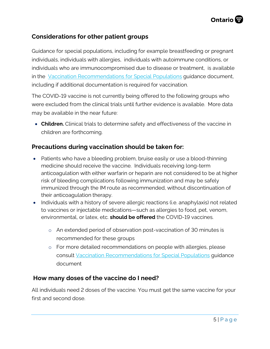#### **Considerations for other patient groups**

Guidance for special populations, including for example breastfeeding or pregnant individuals, individuals with allergies, individuals with autoimmune conditions, or individuals who are immunocompromised due to disease or treatment, is available in the [Vaccination Recommendations for Special Populations](http://www.health.gov.on.ca/en/pro/programs/publichealth/coronavirus/docs/vaccine/COVID-19_vaccination_recommendations_special_populations.pdf) guidance document, including if additional documentation is required for vaccination.

The COVID-19 vaccine is not currently being offered to the following groups who were excluded from the clinical trials until further evidence is available. More data may be available in the near future:

• **Children.** Clinical trials to determine safety and effectiveness of the vaccine in children are forthcoming.

#### **Precautions during vaccination should be taken for:**

- Patients who have a bleeding problem, bruise easily or use a blood-thinning medicine should receive the vaccine. Individuals receiving long-term anticoagulation with either warfarin or heparin are not considered to be at higher risk of bleeding complications following immunization and may be safely immunized through the IM route as recommended, without discontinuation of their anticoagulation therapy.
- Individuals with a history of severe allergic reactions (i.e. anaphylaxis) not related to vaccines or injectable medications—such as allergies to food, pet, venom, environmental, or latex, etc. **should be offered** the COVID-19 vaccines.
	- o An extended period of observation post-vaccination of 30 minutes is recommended for these groups
	- o For more detailed recommendations on people with allergies, please consult [Vaccination Recommendations for Special Populations](http://www.health.gov.on.ca/en/pro/programs/publichealth/coronavirus/docs/vaccine/COVID-19_vaccination_recommendations_special_populations.pdf) guidance document

### **How many doses of the vaccine do I need?**

All individuals need 2 doses of the vaccine. You must get the same vaccine for your first and second dose.